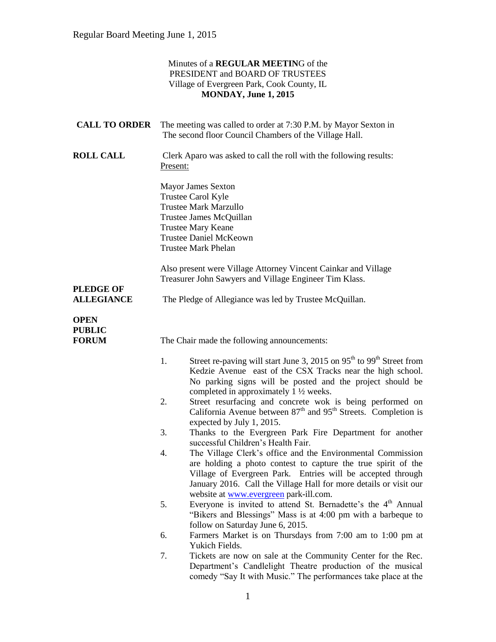### Minutes of a **REGULAR MEETIN**G of the PRESIDENT and BOARD OF TRUSTEES Village of Evergreen Park, Cook County, IL **MONDAY, June 1, 2015 CALL TO ORDER** The meeting was called to order at 7:30 P.M. by Mayor Sexton in The second floor Council Chambers of the Village Hall. **ROLL CALL** Clerk Aparo was asked to call the roll with the following results: Present: Mayor James Sexton Trustee Carol Kyle Trustee Mark Marzullo Trustee James McQuillan Trustee Mary Keane Trustee Daniel McKeown Trustee Mark Phelan Also present were Village Attorney Vincent Cainkar and Village Treasurer John Sawyers and Village Engineer Tim Klass. **PLEDGE OF ALLEGIANCE** The Pledge of Allegiance was led by Trustee McQuillan. **OPEN PUBLIC FORUM** The Chair made the following announcements: 1. Street re-paving will start June 3, 2015 on 95<sup>th</sup> to 99<sup>th</sup> Street from Kedzie Avenue east of the CSX Tracks near the high school. No parking signs will be posted and the project should be completed in approximately 1 ½ weeks. 2. Street resurfacing and concrete wok is being performed on California Avenue between  $87<sup>th</sup>$  and  $95<sup>th</sup>$  Streets. Completion is expected by July 1, 2015. 3. Thanks to the Evergreen Park Fire Department for another successful Children's Health Fair. 4. The Village Clerk's office and the Environmental Commission are holding a photo contest to capture the true spirit of the Village of Evergreen Park. Entries will be accepted through January 2016. Call the Village Hall for more details or visit our website at [www.evergreen](http://www.evergreen/) park-ill.com. 5. Everyone is invited to attend St. Bernadette's the  $4<sup>th</sup>$  Annual "Bikers and Blessings" Mass is at 4:00 pm with a barbeque to follow on Saturday June 6, 2015.

- 6. Farmers Market is on Thursdays from 7:00 am to 1:00 pm at Yukich Fields.
- 7. Tickets are now on sale at the Community Center for the Rec. Department's Candlelight Theatre production of the musical comedy "Say It with Music." The performances take place at the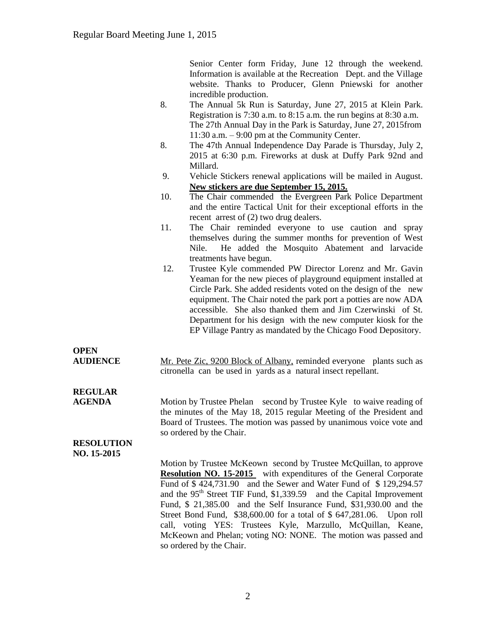Senior Center form Friday, June 12 through the weekend. Information is available at the Recreation Dept. and the Village website. Thanks to Producer, Glenn Pniewski for another incredible production.

- 8. The Annual 5k Run is Saturday, June 27, 2015 at Klein Park. Registration is 7:30 a.m. to 8:15 a.m. the run begins at 8:30 a.m. The 27th Annual Day in the Park is Saturday, June 27, 2015from 11:30 a.m. – 9:00 pm at the Community Center.
- 8. The 47th Annual Independence Day Parade is Thursday, July 2, 2015 at 6:30 p.m. Fireworks at dusk at Duffy Park 92nd and Millard.
- 9. Vehicle Stickers renewal applications will be mailed in August. **New stickers are due September 15, 2015.**
- 10. The Chair commended the Evergreen Park Police Department and the entire Tactical Unit for their exceptional efforts in the recent arrest of (2) two drug dealers.
- 11. The Chair reminded everyone to use caution and spray themselves during the summer months for prevention of West Nile. He added the Mosquito Abatement and larvacide treatments have begun.
- 12. Trustee Kyle commended PW Director Lorenz and Mr. Gavin Yeaman for the new pieces of playground equipment installed at Circle Park. She added residents voted on the design of the new equipment. The Chair noted the park port a potties are now ADA accessible. She also thanked them and Jim Czerwinski of St. Department for his design with the new computer kiosk for the EP Village Pantry as mandated by the Chicago Food Depository.

### **OPEN**

**AUDIENCE** Mr. Pete Zic, 9200 Block of Albany, reminded everyone plants such as citronella can be used in yards as a natural insect repellant.

# **REGULAR**

**AGENDA** Motion by Trustee Phelan second by Trustee Kyle to waive reading of the minutes of the May 18, 2015 regular Meeting of the President and Board of Trustees. The motion was passed by unanimous voice vote and so ordered by the Chair.

#### **RESOLUTION NO. 15-2015**

Motion by Trustee McKeown second by Trustee McQuillan, to approve **Resolution NO. 15-2015** with expenditures of the General Corporate Fund of \$ 424,731.90 and the Sewer and Water Fund of \$ 129,294.57 and the 95<sup>th</sup> Street TIF Fund, \$1,339.59 and the Capital Improvement Fund, \$ 21,385.00 and the Self Insurance Fund, \$31,930.00 and the Street Bond Fund, \$38,600.00 for a total of \$ 647,281.06. Upon roll call, voting YES: Trustees Kyle, Marzullo, McQuillan, Keane, McKeown and Phelan; voting NO: NONE. The motion was passed and so ordered by the Chair.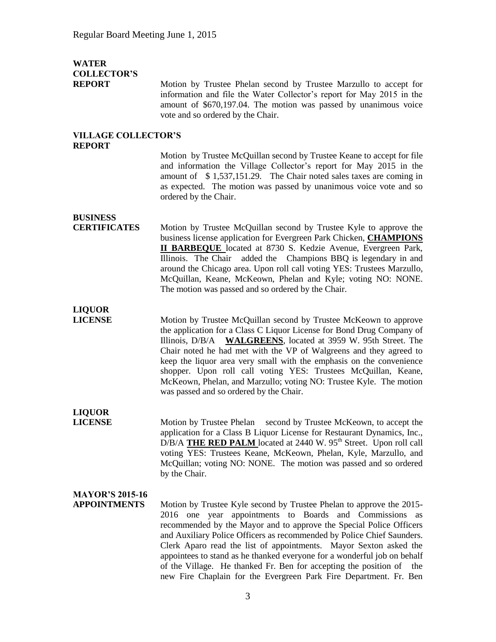# **WATER COLLECTOR'S**

**REPORT** Motion by Trustee Phelan second by Trustee Marzullo to accept for information and file the Water Collector's report for May 2015 in the amount of \$670,197.04. The motion was passed by unanimous voice vote and so ordered by the Chair.

#### **VILLAGE COLLECTOR'S REPORT**

Motion by Trustee McQuillan second by Trustee Keane to accept for file and information the Village Collector's report for May 2015 in the amount of \$ 1,537,151.29. The Chair noted sales taxes are coming in as expected. The motion was passed by unanimous voice vote and so ordered by the Chair.

# **BUSINESS**

**CERTIFICATES** Motion by Trustee McQuillan second by Trustee Kyle to approve the business license application for Evergreen Park Chicken, **CHAMPIONS II BARBEQUE** located at 8730 S. Kedzie Avenue, Evergreen Park, Illinois. The Chair added the Champions BBQ is legendary in and around the Chicago area. Upon roll call voting YES: Trustees Marzullo, McQuillan, Keane, McKeown, Phelan and Kyle; voting NO: NONE. The motion was passed and so ordered by the Chair.

# **LIQUOR**

**LICENSE** Motion by Trustee McQuillan second by Trustee McKeown to approve the application for a Class C Liquor License for Bond Drug Company of Illinois, D/B/A **WALGREENS**, located at 3959 W. 95th Street. The Chair noted he had met with the VP of Walgreens and they agreed to keep the liquor area very small with the emphasis on the convenience shopper. Upon roll call voting YES: Trustees McQuillan, Keane, McKeown, Phelan, and Marzullo; voting NO: Trustee Kyle. The motion was passed and so ordered by the Chair.

## **LIQUOR**

**LICENSE** Motion by Trustee Phelan second by Trustee McKeown, to accept the application for a Class B Liquor License for Restaurant Dynamics, Inc., D/B/A **THE RED PALM** located at 2440 W. 95<sup>th</sup> Street. Upon roll call voting YES: Trustees Keane, McKeown, Phelan, Kyle, Marzullo, and McQuillan; voting NO: NONE. The motion was passed and so ordered by the Chair.

### **MAYOR'S 2015-16**

**APPOINTMENTS** Motion by Trustee Kyle second by Trustee Phelan to approve the 2015- 2016 one year appointments to Boards and Commissions as recommended by the Mayor and to approve the Special Police Officers and Auxiliary Police Officers as recommended by Police Chief Saunders. Clerk Aparo read the list of appointments. Mayor Sexton asked the appointees to stand as he thanked everyone for a wonderful job on behalf of the Village. He thanked Fr. Ben for accepting the position of the new Fire Chaplain for the Evergreen Park Fire Department. Fr. Ben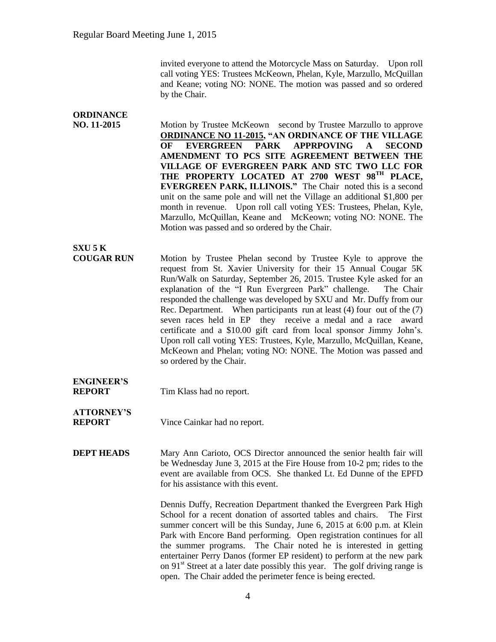invited everyone to attend the Motorcycle Mass on Saturday. Upon roll call voting YES: Trustees McKeown, Phelan, Kyle, Marzullo, McQuillan and Keane; voting NO: NONE. The motion was passed and so ordered by the Chair.

#### **ORDINANCE**<br>**NO. 11-2015** Motion by Trustee McKeown second by Trustee Marzullo to approve **ORDINANCE NO 11-2015, "AN ORDINANCE OF THE VILLAGE OF EVERGREEN PARK APPRPOVING A SECOND AMENDMENT TO PCS SITE AGREEMENT BETWEEN THE VILLAGE OF EVERGREEN PARK AND STC TWO LLC FOR THE PROPERTY LOCATED AT 2700 WEST 98TH PLACE, EVERGREEN PARK, ILLINOIS."** The Chair noted this is a second unit on the same pole and will net the Village an additional \$1,800 per month in revenue. Upon roll call voting YES: Trustees, Phelan, Kyle, Marzullo, McQuillan, Keane and McKeown; voting NO: NONE. The Motion was passed and so ordered by the Chair. **SXU 5 K COUGAR RUN** Motion by Trustee Phelan second by Trustee Kyle to approve the request from St. Xavier University for their 15 Annual Cougar 5K Run/Walk on Saturday, September 26, 2015. Trustee Kyle asked for an explanation of the "I Run Evergreen Park" challenge. The Chair responded the challenge was developed by SXU and Mr. Duffy from our Rec. Department. When participants run at least (4) four out of the (7) seven races held in EP they receive a medal and a race award certificate and a \$10.00 gift card from local sponsor Jimmy John's. Upon roll call voting YES: Trustees, Kyle, Marzullo, McQuillan, Keane, McKeown and Phelan; voting NO: NONE. The Motion was passed and so ordered by the Chair. **ENGINEER'S REPORT** Tim Klass had no report. **ATTORNEY'S REPORT** Vince Cainkar had no report. **DEPT HEADS** Mary Ann Carioto, OCS Director announced the senior health fair will be Wednesday June 3, 2015 at the Fire House from 10-2 pm; rides to the event are available from OCS. She thanked Lt. Ed Dunne of the EPFD for his assistance with this event. Dennis Duffy, Recreation Department thanked the Evergreen Park High

School for a recent donation of assorted tables and chairs. The First summer concert will be this Sunday, June 6, 2015 at 6:00 p.m. at Klein Park with Encore Band performing. Open registration continues for all the summer programs. The Chair noted he is interested in getting entertainer Perry Danos (former EP resident) to perform at the new park on  $91<sup>st</sup>$  Street at a later date possibly this year. The golf driving range is open. The Chair added the perimeter fence is being erected.